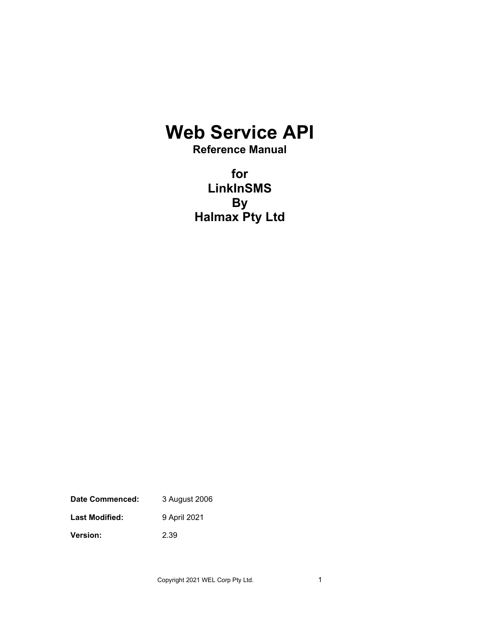# **Web Service API**

**Reference Manual**

**for LinkInSMS By Halmax Pty Ltd**

**Date Commenced:** 3 August 2006 Last Modified: 9 April 2021 **Version:** 2.39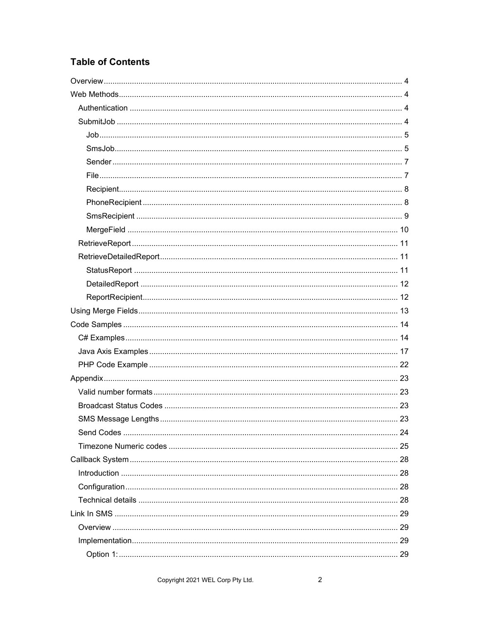# **Table of Contents**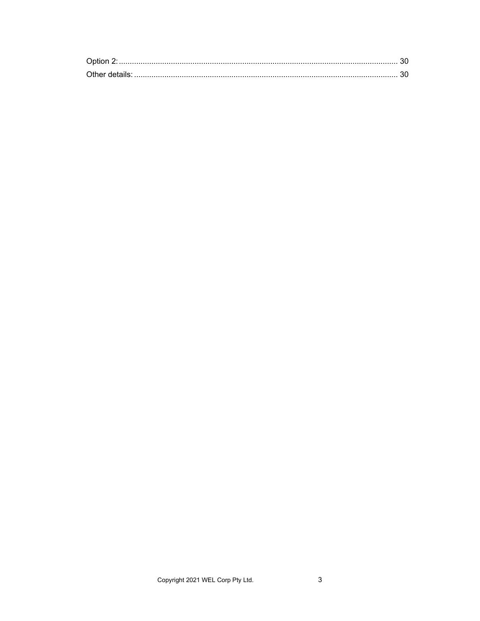| Option 2 |  |
|----------|--|
|          |  |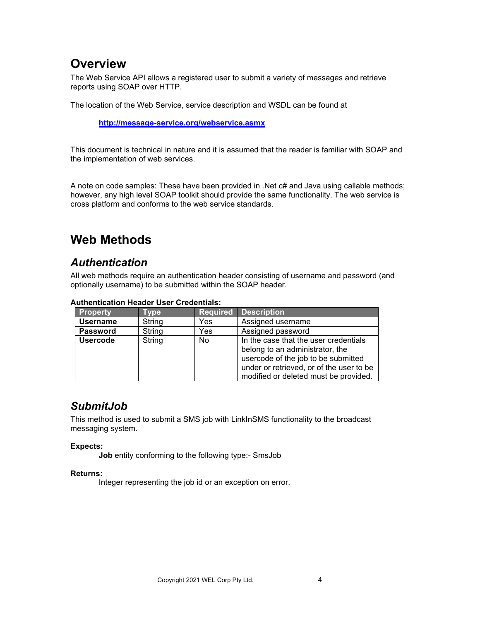# <span id="page-3-0"></span>**Overview**

The Web Service API allows a registered user to submit a variety of messages and retrieve reports using SOAP over HTTP.

The location of the Web Service, service description and WSDL can be found at

**<http://message-service.org/webservice.asmx>**

This document is technical in nature and it is assumed that the reader is familiar with SOAP and the implementation of web services.

A note on code samples: These have been provided in .Net c# and Java using callable methods; however, any high level SOAP toolkit should provide the same functionality. The web service is cross platform and conforms to the web service standards.

# <span id="page-3-1"></span>**Web Methods**

# <span id="page-3-2"></span>*Authentication*

All web methods require an authentication header consisting of username and password (and optionally username) to be submitted within the SOAP header.

| <b>Property</b> | Type   | <b>Required</b> | <b>Description</b>                                                                                                                                                                                   |
|-----------------|--------|-----------------|------------------------------------------------------------------------------------------------------------------------------------------------------------------------------------------------------|
| <b>Username</b> | String | Yes             | Assigned username                                                                                                                                                                                    |
| <b>Password</b> | String | Yes             | Assigned password                                                                                                                                                                                    |
| <b>Usercode</b> | String | <b>No</b>       | In the case that the user credentials<br>belong to an administrator, the<br>usercode of the job to be submitted<br>under or retrieved, or of the user to be<br>modified or deleted must be provided. |

#### **Authentication Header User Credentials:**

## <span id="page-3-3"></span>*SubmitJob*

This method is used to submit a SMS job with LinkInSMS functionality to the broadcast messaging system.

### **Expects:**

**Job** entity conforming to the following type:- SmsJob

#### **Returns:**

Integer representing the job id or an exception on error.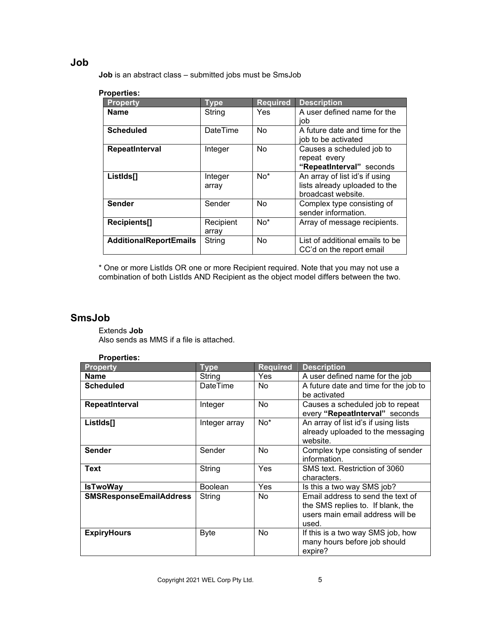## <span id="page-4-0"></span>**Job**

**Job** is an abstract class – submitted jobs must be SmsJob

### **Properties:**

| <b>Property</b>               | <b>Type</b>        | <b>Required</b> | <b>Description</b>                                                                    |
|-------------------------------|--------------------|-----------------|---------------------------------------------------------------------------------------|
| <b>Name</b>                   | String             | Yes.            | A user defined name for the<br>iob                                                    |
| <b>Scheduled</b>              | DateTime           | <b>No</b>       | A future date and time for the<br>job to be activated                                 |
| RepeatInterval                | Integer            | <b>No</b>       | Causes a scheduled job to<br>repeat every<br>"RepeatInterval" seconds                 |
| ListIds[]                     | Integer<br>array   | $No*$           | An array of list id's if using<br>lists already uploaded to the<br>broadcast website. |
| <b>Sender</b>                 | Sender             | <b>No</b>       | Complex type consisting of<br>sender information.                                     |
| Recipients[]                  | Recipient<br>array | $No*$           | Array of message recipients.                                                          |
| <b>AdditionalReportEmails</b> | String             | <b>No</b>       | List of additional emails to be<br>CC'd on the report email                           |

\* One or more ListIds OR one or more Recipient required. Note that you may not use a combination of both ListIds AND Recipient as the object model differs between the two.

### <span id="page-4-1"></span>**SmsJob**

Extends **Job** Also sends as MMS if a file is attached.

| <b>Properties:</b>             |                 |                 |                                                                                                                     |
|--------------------------------|-----------------|-----------------|---------------------------------------------------------------------------------------------------------------------|
| <b>Property</b>                | <b>Type</b>     | <b>Required</b> | <b>Description</b>                                                                                                  |
| <b>Name</b>                    | String          | <b>Yes</b>      | A user defined name for the job                                                                                     |
| <b>Scheduled</b>               | <b>DateTime</b> | <b>No</b>       | A future date and time for the job to<br>be activated                                                               |
| RepeatInterval                 | Integer         | <b>No</b>       | Causes a scheduled job to repeat<br>every "RepeatInterval" seconds                                                  |
| ListIds <sup>[]</sup>          | Integer array   | $No*$           | An array of list id's if using lists<br>already uploaded to the messaging<br>website.                               |
| <b>Sender</b>                  | Sender          | No              | Complex type consisting of sender<br>information.                                                                   |
| <b>Text</b>                    | String          | Yes             | SMS text. Restriction of 3060<br>characters.                                                                        |
| <b>IsTwoWay</b>                | <b>Boolean</b>  | Yes             | Is this a two way SMS job?                                                                                          |
| <b>SMSResponseEmailAddress</b> | String          | <b>No</b>       | Email address to send the text of<br>the SMS replies to. If blank, the<br>users main email address will be<br>used. |
| <b>ExpiryHours</b>             | <b>Byte</b>     | No              | If this is a two way SMS job, how<br>many hours before job should<br>expire?                                        |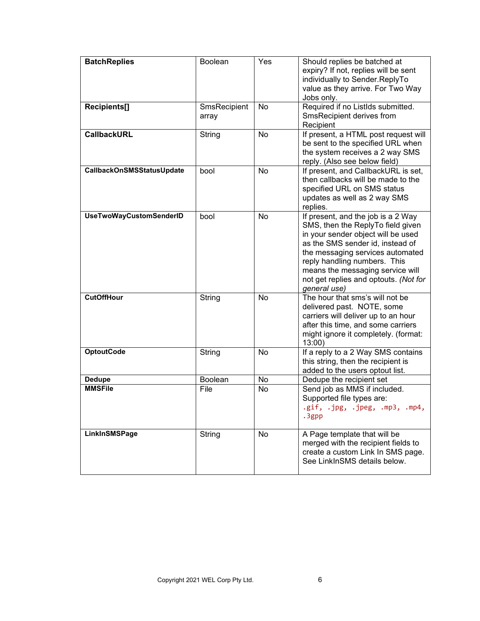| <b>BatchReplies</b>            | Boolean               | Yes       | Should replies be batched at<br>expiry? If not, replies will be sent<br>individually to Sender.ReplyTo<br>value as they arrive. For Two Way<br>Jobs only.                                                                                                                                                          |
|--------------------------------|-----------------------|-----------|--------------------------------------------------------------------------------------------------------------------------------------------------------------------------------------------------------------------------------------------------------------------------------------------------------------------|
| Recipients[]                   | SmsRecipient<br>array | <b>No</b> | Required if no ListIds submitted.<br>SmsRecipient derives from<br>Recipient                                                                                                                                                                                                                                        |
| <b>CallbackURL</b>             | String                | <b>No</b> | If present, a HTML post request will<br>be sent to the specified URL when<br>the system receives a 2 way SMS<br>reply. (Also see below field)                                                                                                                                                                      |
| CallbackOnSMSStatusUpdate      | bool                  | <b>No</b> | If present, and CallbackURL is set,<br>then callbacks will be made to the<br>specified URL on SMS status<br>updates as well as 2 way SMS<br>replies.                                                                                                                                                               |
| <b>UseTwoWayCustomSenderID</b> | bool                  | <b>No</b> | If present, and the job is a 2 Way<br>SMS, then the ReplyTo field given<br>in your sender object will be used<br>as the SMS sender id, instead of<br>the messaging services automated<br>reply handling numbers. This<br>means the messaging service will<br>not get replies and optouts. (Not for<br>qeneral use) |
| <b>CutOffHour</b>              | String                | <b>No</b> | The hour that sms's will not be<br>delivered past. NOTE, some<br>carriers will deliver up to an hour<br>after this time, and some carriers<br>might ignore it completely. (format:<br>$13:00$ )                                                                                                                    |
| <b>OptoutCode</b>              | String                | No        | If a reply to a 2 Way SMS contains<br>this string, then the recipient is<br>added to the users optout list.                                                                                                                                                                                                        |
| <b>Dedupe</b>                  | <b>Boolean</b>        | No        | Dedupe the recipient set                                                                                                                                                                                                                                                                                           |
| <b>MMSFile</b>                 | File                  | <b>No</b> | Send job as MMS if included.<br>Supported file types are:<br>.gif, .jpg, .jpeg, .mp3, .mp4,<br>.3gpp                                                                                                                                                                                                               |
| LinkInSMSPage                  | String                | No        | A Page template that will be<br>merged with the recipient fields to<br>create a custom Link In SMS page.<br>See LinkInSMS details below.                                                                                                                                                                           |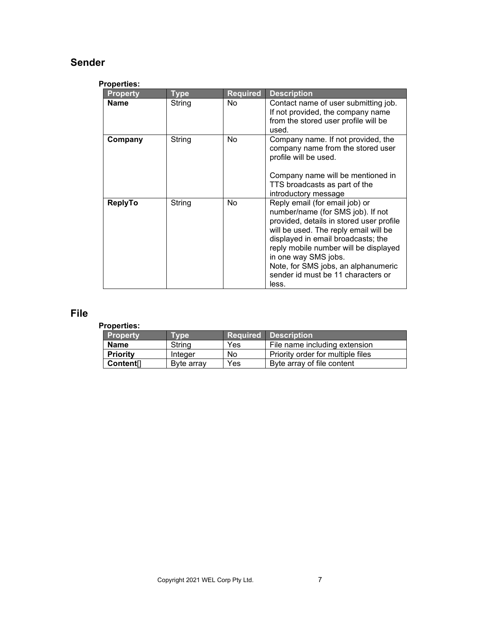## <span id="page-6-0"></span>**Sender**

### **Properties:**

| <b>Property</b> | Type   | <b>Required</b> | <b>Description</b>                                                                                                                                                                                                                                                                                                                                    |
|-----------------|--------|-----------------|-------------------------------------------------------------------------------------------------------------------------------------------------------------------------------------------------------------------------------------------------------------------------------------------------------------------------------------------------------|
| Name            | String | No              | Contact name of user submitting job.<br>If not provided, the company name<br>from the stored user profile will be<br>used.                                                                                                                                                                                                                            |
| Company         | String | No              | Company name. If not provided, the<br>company name from the stored user<br>profile will be used.<br>Company name will be mentioned in<br>TTS broadcasts as part of the<br>introductory message                                                                                                                                                        |
| <b>ReplyTo</b>  | String | No              | Reply email (for email job) or<br>number/name (for SMS job). If not<br>provided, details in stored user profile<br>will be used. The reply email will be<br>displayed in email broadcasts; the<br>reply mobile number will be displayed<br>in one way SMS jobs.<br>Note, for SMS jobs, an alphanumeric<br>sender id must be 11 characters or<br>less. |

## <span id="page-6-1"></span>**File**

| <b>Property</b>       | Tvpe       |     | <b>Required Description</b>       |
|-----------------------|------------|-----|-----------------------------------|
| <b>Name</b>           | String     | Yes | File name including extension     |
| <b>Priority</b>       | Integer    | No  | Priority order for multiple files |
| Content <sup>[]</sup> | Byte array | Yes | Byte array of file content        |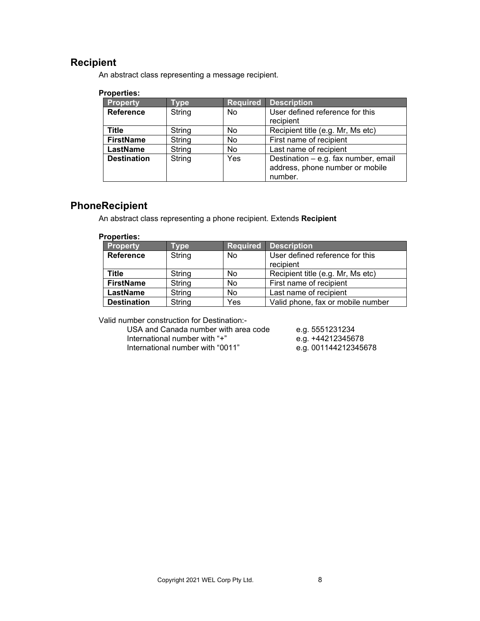## <span id="page-7-0"></span>**Recipient**

An abstract class representing a message recipient.

### **Properties:**

| <b>Type</b> | <b>Required</b> | <b>Description</b>                                                                 |
|-------------|-----------------|------------------------------------------------------------------------------------|
| String      | No.             | User defined reference for this                                                    |
|             |                 | recipient                                                                          |
| String      | No              | Recipient title (e.g. Mr, Ms etc)                                                  |
| String      | No              | First name of recipient                                                            |
| String      | No              | Last name of recipient                                                             |
| String      | Yes             | Destination - e.g. fax number, email<br>address, phone number or mobile<br>number. |
|             |                 |                                                                                    |

## <span id="page-7-1"></span>**PhoneRecipient**

An abstract class representing a phone recipient. Extends **Recipient**

#### **Properties:**

| <b>Property</b>    | <b>Type</b> | Required | <b>Description</b>                           |
|--------------------|-------------|----------|----------------------------------------------|
| <b>Reference</b>   | String      | No       | User defined reference for this<br>recipient |
| Title              | String      | No       | Recipient title (e.g. Mr, Ms etc)            |
| <b>FirstName</b>   | String      | No       | First name of recipient                      |
| LastName           | String      | No       | Last name of recipient                       |
| <b>Destination</b> | String      | Yes      | Valid phone, fax or mobile number            |

Valid number construction for Destination:-

USA and Canada number with area code e.g. 5551231234<br>International number with "+" e.g. +44212345678 International number with "+" e.g. +44212345678<br>International number with "0011" e.g. 001144212345678 International number with "0011"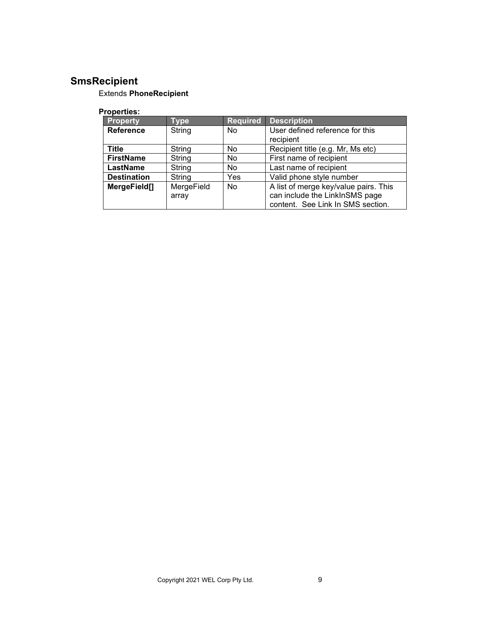# <span id="page-8-0"></span>**SmsRecipient**

## Extends **PhoneRecipient**

| <b>Property</b>    | <b>Type</b> | <b>Required</b> | <b>Description</b>                    |
|--------------------|-------------|-----------------|---------------------------------------|
| <b>Reference</b>   | String      | <b>No</b>       | User defined reference for this       |
|                    |             |                 | recipient                             |
| <b>Title</b>       | String      | No              | Recipient title (e.g. Mr, Ms etc)     |
| <b>FirstName</b>   | String      | No              | First name of recipient               |
| LastName           | String      | No              | Last name of recipient                |
| <b>Destination</b> | String      | Yes             | Valid phone style number              |
| MergeField[]       | MergeField  | <b>No</b>       | A list of merge key/value pairs. This |
|                    | array       |                 | can include the LinkInSMS page        |
|                    |             |                 | content. See Link In SMS section.     |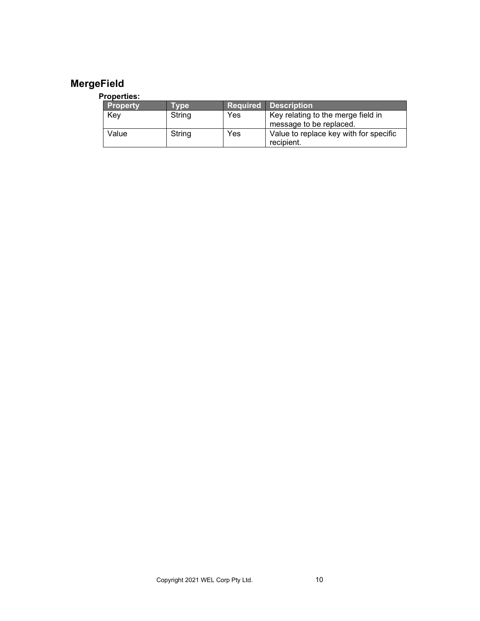# <span id="page-9-0"></span>**MergeField**

| <b>Property</b> | Tvpe   |     | <b>Required Description</b>                                   |
|-----------------|--------|-----|---------------------------------------------------------------|
| Key             | String | Yes | Key relating to the merge field in<br>message to be replaced. |
| Value           | String | Yes | Value to replace key with for specific<br>recipient.          |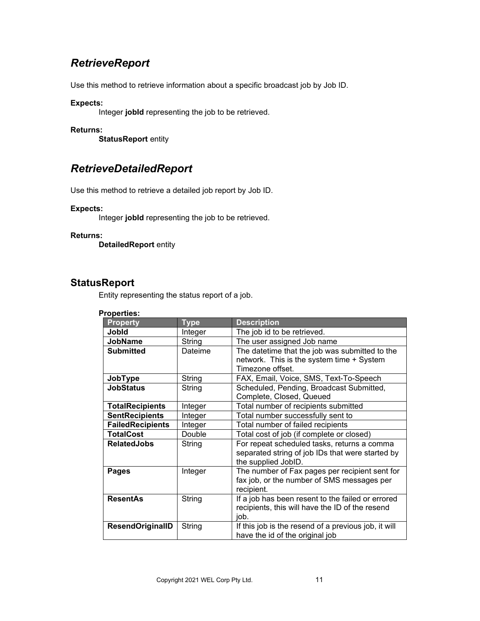# <span id="page-10-0"></span>*RetrieveReport*

Use this method to retrieve information about a specific broadcast job by Job ID.

### **Expects:**

Integer **jobId** representing the job to be retrieved.

### **Returns:**

**StatusReport** entity

## <span id="page-10-1"></span>*RetrieveDetailedReport*

Use this method to retrieve a detailed job report by Job ID.

### **Expects:**

Integer **jobId** representing the job to be retrieved.

### **Returns:**

**DetailedReport** entity

### <span id="page-10-2"></span>**StatusReport**

Entity representing the status report of a job.

| <b>Property</b>         | <b>Type</b> | <b>Description</b>                                                                          |
|-------------------------|-------------|---------------------------------------------------------------------------------------------|
| <b>Jobid</b>            | Integer     | The job id to be retrieved.                                                                 |
| <b>JobName</b>          | String      | The user assigned Job name                                                                  |
| <b>Submitted</b>        | Dateime     | The datetime that the job was submitted to the<br>network. This is the system time + System |
|                         |             | Timezone offset.                                                                            |
| JobType                 | String      | FAX, Email, Voice, SMS, Text-To-Speech                                                      |
| <b>JobStatus</b>        | String      | Scheduled, Pending, Broadcast Submitted,                                                    |
|                         |             | Complete, Closed, Queued                                                                    |
| <b>TotalRecipients</b>  | Integer     | Total number of recipients submitted                                                        |
| <b>SentRecipients</b>   | Integer     | Total number successfully sent to                                                           |
| <b>FailedRecipients</b> | Integer     | Total number of failed recipients                                                           |
| <b>TotalCost</b>        | Double      | Total cost of job (if complete or closed)                                                   |
| <b>RelatedJobs</b>      | String      | For repeat scheduled tasks, returns a comma                                                 |
|                         |             | separated string of job IDs that were started by                                            |
|                         |             | the supplied JobID.                                                                         |
| Pages                   | Integer     | The number of Fax pages per recipient sent for                                              |
|                         |             | fax job, or the number of SMS messages per                                                  |
|                         |             | recipient.                                                                                  |
| <b>ResentAs</b>         | String      | If a job has been resent to the failed or errored                                           |
|                         |             | recipients, this will have the ID of the resend                                             |
|                         |             | job.                                                                                        |
| <b>ResendOriginalID</b> | String      | If this job is the resend of a previous job, it will                                        |
|                         |             | have the id of the original job                                                             |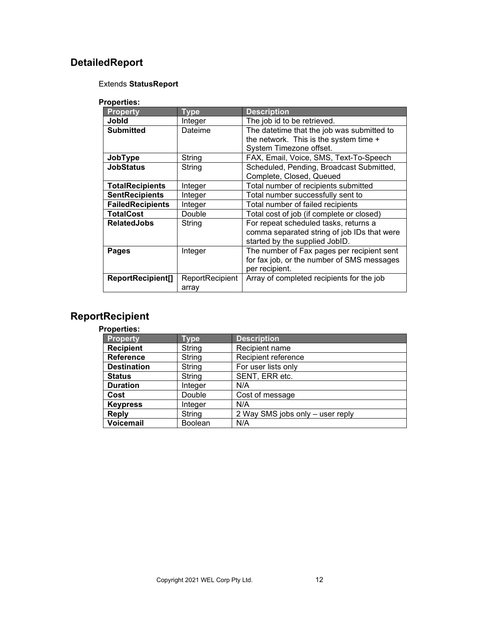# <span id="page-11-0"></span>**DetailedReport**

### Extends **StatusReport**

### **Properties:**

| <b>Property</b>         | <b>Type</b>     | <b>Description</b>                          |
|-------------------------|-----------------|---------------------------------------------|
| Jobld                   | Integer         | The job id to be retrieved.                 |
| <b>Submitted</b>        | Dateime         | The datetime that the job was submitted to  |
|                         |                 | the network. This is the system time +      |
|                         |                 | System Timezone offset.                     |
| JobType                 | String          | FAX, Email, Voice, SMS, Text-To-Speech      |
| <b>JobStatus</b>        | String          | Scheduled, Pending, Broadcast Submitted,    |
|                         |                 | Complete, Closed, Queued                    |
| <b>TotalRecipients</b>  | Integer         | Total number of recipients submitted        |
| <b>SentRecipients</b>   | Integer         | Total number successfully sent to           |
| <b>FailedRecipients</b> | Integer         | Total number of failed recipients           |
| <b>TotalCost</b>        | Double          | Total cost of job (if complete or closed)   |
| <b>RelatedJobs</b>      | String          | For repeat scheduled tasks, returns a       |
|                         |                 | comma separated string of job IDs that were |
|                         |                 | started by the supplied JobID.              |
| Pages                   | Integer         | The number of Fax pages per recipient sent  |
|                         |                 | for fax job, or the number of SMS messages  |
|                         |                 | per recipient.                              |
| ReportRecipient[]       | ReportRecipient | Array of completed recipients for the job   |
|                         | array           |                                             |

# <span id="page-11-1"></span>**ReportRecipient**

| <b>Property</b>    | <b>Type</b>    | <b>Description</b>               |
|--------------------|----------------|----------------------------------|
| <b>Recipient</b>   | String         | Recipient name                   |
| <b>Reference</b>   | String         | Recipient reference              |
| <b>Destination</b> | String         | For user lists only              |
| <b>Status</b>      | String         | SENT, ERR etc.                   |
| <b>Duration</b>    | Integer        | N/A                              |
| Cost               | Double         | Cost of message                  |
| <b>Keypress</b>    | Integer        | N/A                              |
| <b>Reply</b>       | String         | 2 Way SMS jobs only - user reply |
| <b>Voicemail</b>   | <b>Boolean</b> | N/A                              |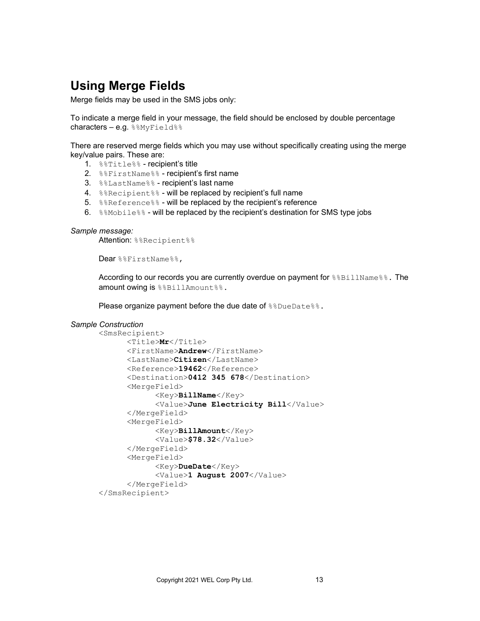# <span id="page-12-0"></span>**Using Merge Fields**

Merge fields may be used in the SMS jobs only:

To indicate a merge field in your message, the field should be enclosed by double percentage characters - e.g. %%MyField%%

There are reserved merge fields which you may use without specifically creating using the merge key/value pairs. These are:

- 1. %%Title%% recipient's title
- 2. %%FirstName%% recipient's first name
- 3. %%LastName%% recipient's last name
- 4. %&Recipient%% will be replaced by recipient's full name
- 5. %&Reference% will be replaced by the recipient's reference
- 6. % & Mobile% will be replaced by the recipient's destination for SMS type jobs

```
Sample message:
```
Attention: %%Recipient%%

Dear %%FirstName%%,

According to our records you are currently overdue on payment for  $\frac{1}{8}$ BillName  $\frac{1}{8}$ . The amount owing is %%BillAmount%%.

Please organize payment before the due date of %%DueDate%%.

#### *Sample Construction*

```
<SmsRecipient>
      <Title>Mr</Title>
      <FirstName>Andrew</FirstName>
      <LastName>Citizen</LastName>
      <Reference>19462</Reference>
      <Destination>0412 345 678</Destination>
      <MergeField>
            <Key>BillName</Key>
            <Value>June Electricity Bill</Value>
      </MergeField>
      <MergeField>
            <Key>BillAmount</Key>
            <Value>$78.32</Value>
      </MergeField>
      <MergeField>
            <Key>DueDate</Key>
            <Value>1 August 2007</Value>
      </MergeField>
</SmsRecipient>
```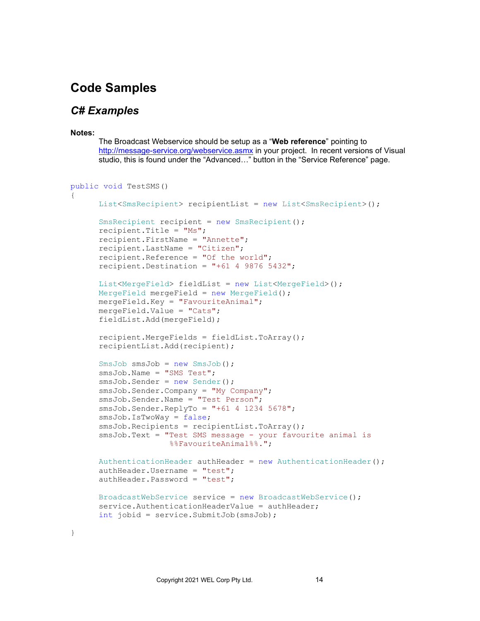# <span id="page-13-0"></span>**Code Samples**

### <span id="page-13-1"></span>*C# Examples*

#### **Notes:**

The Broadcast Webservice should be setup as a "**Web reference**" pointing to <http://message-service.org/webservice.asmx> in your project. In recent versions of Visual studio, this is found under the "Advanced…" button in the "Service Reference" page.

```
public void TestSMS()
{
     List<SmsRecipient> recipientList = new List<SmsRecipient>();
     SmsRecipient recipient = new SmsRecipient ();
     recipient.Title = "Ms";
     recipient.FirstName = "Annette";
     recipient.LastName = "Citizen";
     recipient.Reference = "Of the world";
     recipient.Destination = "+61 4 9876 5432";
     List<MergeField> fieldList = new List<MergeField>();
     MergeField mergeField = new MergeField();
     mergeField.Key = "FavouriteAnimal";
     mergeField.Value = "Cats";
     fieldList.Add(mergeField);
     recipient.MergeFields = fieldList.ToArray();
     recipientList.Add(recipient);
     SmsJob smsJob = new SmsJob();
      smsJob.Name = "SMS Test";
     smsJob.Sender = new Sender();
     smsJob.Sender.Company = "My Company";
     smsJob.Sender.Name = "Test Person";
     smsJob.Sender.ReplyTo = "+61 4 1234 5678";
     smsJob.IsTwoWay = false;
      smsJob.Recipients = recipientList.ToArray();
      smsJob.Text = "Test SMS message - your favourite animal is 
                     %%FavouriteAnimal%%.";
     AuthenticationHeader authHeader = new AuthenticationHeader();
     authHeader.Username = "test";
     authHeader.Password = "test";
     BroadcastWebService service = new BroadcastWebService();
     service.AuthenticationHeaderValue = authHeader;
     int jobid = service.SubmitJob(smsJob);
```

```
}
```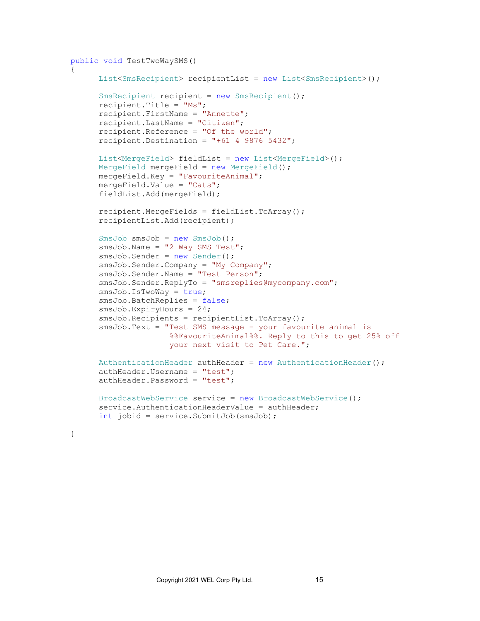```
public void TestTwoWaySMS()
{
     List<SmsRecipient> recipientList = new List<SmsRecipient>();
     SmsRecipient recipient = new SmsRecipient();
     recipient.Title = "Ms";
     recipient.FirstName = "Annette";
     recipient.LastName = "Citizen";
     recipient.Reference = "Of the world";
     recipient. Destination = "+61 4 9876 5432";
     List<MergeField> fieldList = new List<MergeField>();
     MergeField mergeField = new MergeField();
     mergeField.Key = "FavouriteAnimal";
     mergeField.Value = "Cats";
     fieldList.Add(mergeField);
     recipient.MergeFields = fieldList.ToArray();
     recipientList.Add(recipient);
     SmsJob smsJob = new SmsJob();
     smsJob.Name = "2 Way SMS Test";
     smsJob.Sender = new Sender();
     smsJob.Sender.Company = "My Company";
     smsJob.Sender.Name = "Test Person";
     smsJob.Sender.ReplyTo = "smsreplies@mycompany.com";
     smsJob.IsTwoWay = true;
     smsJob.BatchReplies = false;
     smsJob.ExpiryHours = 24;
      smsJob.Recipients = recipientList.ToArray();
      smsJob.Text = "Test SMS message - your favourite animal is
                     %%FavouriteAnimal%%. Reply to this to get 25% off 
                     your next visit to Pet Care.";
     AuthenticationHeader authHeader = new AuthenticationHeader();
     authHeader.Username = "test";
     authHeader. Password = "test";
     BroadcastWebService service = new BroadcastWebService();
     service.AuthenticationHeaderValue = authHeader;
     int jobid = service.SubmitJob(smsJob);
```

```
}
```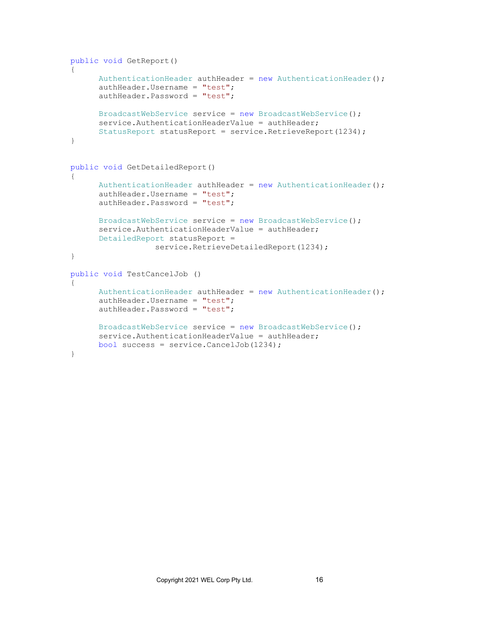```
public void GetReport()
{
      AuthenticationHeader authHeader = new AuthenticationHeader();
      authHeader.Username = "test";
     authHeader.Password = "test";
     BroadcastWebService service = new BroadcastWebService();
      service.AuthenticationHeaderValue = authHeader;
      StatusReport statusReport = service.RetrieveReport(1234);
}
public void GetDetailedReport()
{
      AuthenticationHeader authHeader = new AuthenticationHeader();
      authHeader.Username = "test";
      authHeader.Password = "test";
     BroadcastWebService service = new BroadcastWebService();
      service.AuthenticationHeaderValue = authHeader;
      DetailedReport statusReport = 
                  service.RetrieveDetailedReport(1234);
}
public void TestCancelJob ()
{
      AuthenticationHeader authHeader = new AuthenticationHeader();
      authHeader.Username = "test";
      authHeader.Password = "test";
     BroadcastWebService service = new BroadcastWebService();
      service.AuthenticationHeaderValue = authHeader;
     bool success = service.CancelJob(1234);
}
```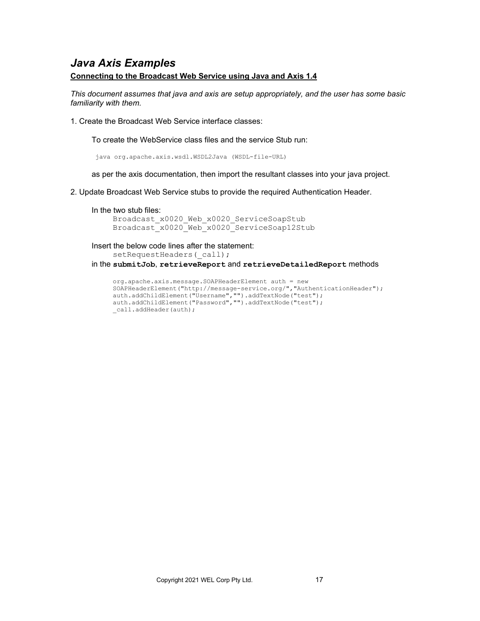## <span id="page-16-0"></span>*Java Axis Examples*

### **Connecting to the Broadcast Web Service using Java and Axis 1.4**

*This document assumes that java and axis are setup appropriately, and the user has some basic familiarity with them.*

1. Create the Broadcast Web Service interface classes:

To create the WebService class files and the service Stub run:

java org.apache.axis.wsdl.WSDL2Java (WSDL-file-URL)

as per the axis documentation, then import the resultant classes into your java project.

- 2. Update Broadcast Web Service stubs to provide the required Authentication Header.
	- In the two stub files:

Broadcast x0020 Web x0020 ServiceSoapStub Broadcast\_x0020\_Web\_x0020\_ServiceSoap12Stub

Insert the below code lines after the statement: setRequestHeaders(call); in the **submitJob**, **retrieveReport** and **retrieveDetailedReport** methods

```
org.apache.axis.message.SOAPHeaderElement auth = new 
SOAPHeaderElement("http://message-service.org/","AuthenticationHeader");
auth.addChildElement("Username","").addTextNode("test");
auth.addChildElement("Password","").addTextNode("test");
call.addHeader(auth);
```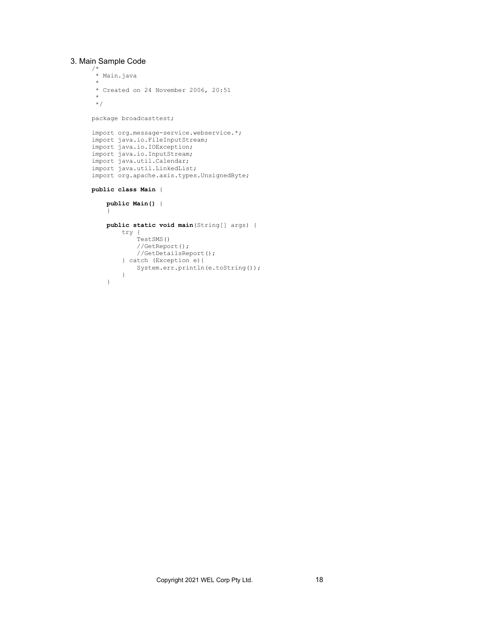#### 3. Main Sample Code

}

```
/*
 * Main.java
 *
 * Created on 24 November 2006, 20:51
 *
 */
package broadcasttest;
import org.message-service.webservice.*;
import java.io.FileInputStream;
import java.io.IOException;
import java.io.InputStream;
import java.util.Calendar;
import java.util.LinkedList;
import org.apache.axis.types.UnsignedByte;
public class Main {
     public Main() {
     }
     public static void main(String[] args) {
        try {
             TestSMS()
             //GetReport();
             //GetDetailsReport();
         } catch (Exception e){
           System.err.println(e.toString());
         }
```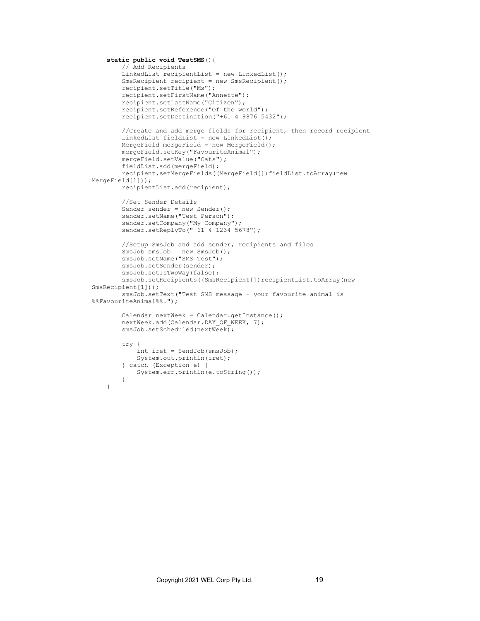```
 static public void TestSMS(){
         // Add Recipients
        LinkedList recipientList = new LinkedList();
        SmsRecipient recipient = new SmsRecipient();
         recipient.setTitle("Ms");
         recipient.setFirstName("Annette");
        recipient.setLastName("Citizen");
         recipient.setReference("Of the world");
         recipient.setDestination("+61 4 9876 5432");
         //Create and add merge fields for recipient, then record recipient
         LinkedList fieldList = new LinkedList();
       MergeField mergeField = new MergeField();
       mergeField.setKey("FavouriteAnimal");
        mergeField.setValue("Cats");
         fieldList.add(mergeField);
         recipient.setMergeFields((MergeField[])fieldList.toArray(new 
MergeField[1]));
        recipientList.add(recipient);
         //Set Sender Details
         Sender sender = new Sender();
         sender.setName("Test Person");
         sender.setCompany("My Company");
        sender.setReplyTo("+61 4 1234 5678");
         //Setup SmsJob and add sender, recipients and files
         SmsJob smsJob = new SmsJob();
         smsJob.setName("SMS Test");
         smsJob.setSender(sender);
         smsJob.setIsTwoWay(false);
       smsJob.setRecipients((SmsRecipient[])recipientList.toArray(new
SmsRecipient[1]));
         smsJob.setText("Test SMS message - your favourite animal is 
%%FavouriteAnimal%%.");
        Calendar nextWeek = Calendar.getInstance();
        nextWeek.add(Calendar.DAY OF WEEK, 7);
         smsJob.setScheduled(nextWeek);
         try {
            int iret = SendJob(smsJob);
             System.out.println(iret);
         } catch (Exception e) {
             System.err.println(e.toString());
 }
     }
```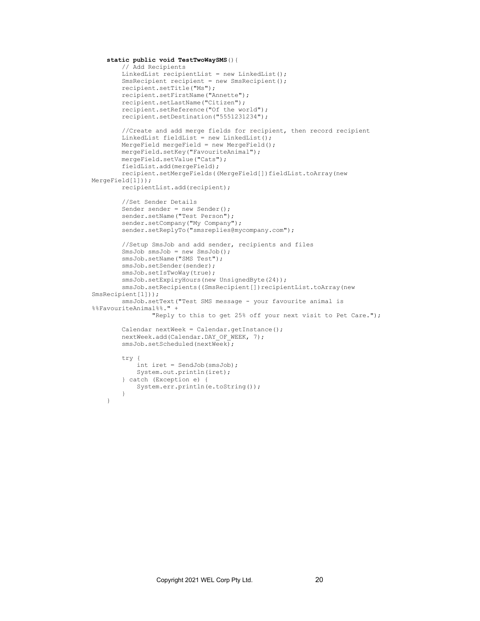```
 static public void TestTwoWaySMS(){
         // Add Recipients
         LinkedList recipientList = new LinkedList();
        SmsRecipient recipient = new SmsRecipient();
         recipient.setTitle("Ms");
         recipient.setFirstName("Annette");
        recipient.setLastName("Citizen");
         recipient.setReference("Of the world");
         recipient.setDestination("5551231234");
         //Create and add merge fields for recipient, then record recipient
         LinkedList fieldList = new LinkedList();
       MergeField mergeField = new MergeField();
       mergeField.setKey("FavouriteAnimal");
         mergeField.setValue("Cats");
         fieldList.add(mergeField);
         recipient.setMergeFields((MergeField[])fieldList.toArray(new
MergeField[1]));
        recipientList.add(recipient);
         //Set Sender Details
         Sender sender = new Sender();
         sender.setName("Test Person");
         sender.setCompany("My Company");
         sender.setReplyTo("smsreplies@mycompany.com");
         //Setup SmsJob and add sender, recipients and files
         SmsJob smsJob = new SmsJob();
         smsJob.setName("SMS Test");
         smsJob.setSender(sender);
         smsJob.setIsTwoWay(true);
        smsJob.setExpiryHours(new UnsignedByte(24));
         smsJob.setRecipients((SmsRecipient[])recipientList.toArray(new 
SmsRecipient[1]));
         smsJob.setText("Test SMS message - your favourite animal is 
%%FavouriteAnimal%%." +
                 "Reply to this to get 25% off your next visit to Pet Care.");
        Calendar nextWeek = Calendar.getInstance();
        nextWeek.add(Calendar.DAY_OF_WEEK, 7);
         smsJob.setScheduled(nextWeek);
         try {
             int iret = SendJob(smsJob);
             System.out.println(iret);
         } catch (Exception e) {
        System.err.println(e.toString());
 }
     }
```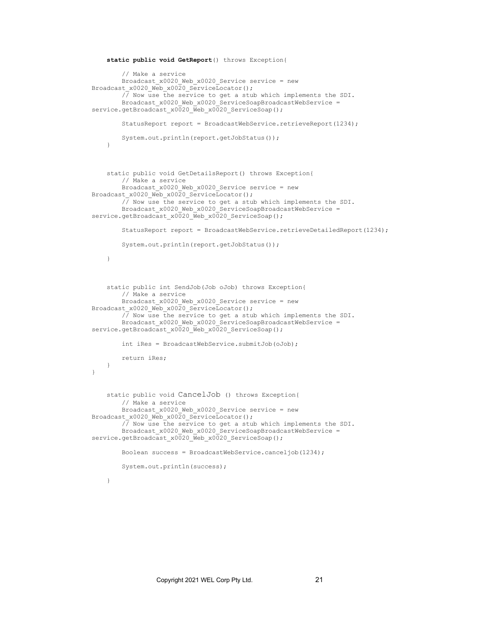```
 static public void GetReport() throws Exception{
         // Make a service
        Broadcast x0020 Web x0020 Service service = new
Broadcast x0020 Web x0020 ServiceLocator();
         // Now use the service to get a stub which implements the SDI.
        Broadcast x0020 Web x0020 ServiceSoapBroadcastWebService =
service.getBroadcast_x0020_Web_x0020_ServiceSoap();
        StatusReport report = BroadcastWebService.retrieveReport(1234);
         System.out.println(report.getJobStatus());
     }
     static public void GetDetailsReport() throws Exception{
         // Make a service
        Broadcast x0020 Web x0020 Service service = new
Broadcast x0020 Web x0020 ServiceLocator();
         // Now use the service to get a stub which implements the SDI.
        Broadcast x0020 Web x0020 ServiceSoapBroadcastWebService =
service.getBroadcast_x0020_Web_x0020_ServiceSoap();
        StatusReport report = BroadcastWebService.retrieveDetailedReport(1234);
         System.out.println(report.getJobStatus());
     }
     static public int SendJob(Job oJob) throws Exception{
         // Make a service
        Broadcast x0020 Web x0020 Service service = new
Broadcast x0020 Web x0020 ServiceLocator();
         // Now use the service to get a stub which implements the SDI.
        Broadcast_x0020_Web_x0020_ServiceSoapBroadcastWebService =
service.getBroadcast_x0020_Web_x0020_ServiceSoap();
         int iRes = BroadcastWebService.submitJob(oJob);
         return iRes;
    }
}
     static public void CancelJob () throws Exception{
         // Make a service
        Broadcast x0020 Web x0020 Service service = new
Broadcast x0020 Web x0020 ServiceLocator();
         // Now use the service to get a stub which implements the SDI.
        Broadcast x0020 Web x0020 ServiceSoapBroadcastWebService =
service.getBroadcast_x0020_Web_x0020_ServiceSoap();
         Boolean success = BroadcastWebService.canceljob(1234);
         System.out.println(success);
     }
```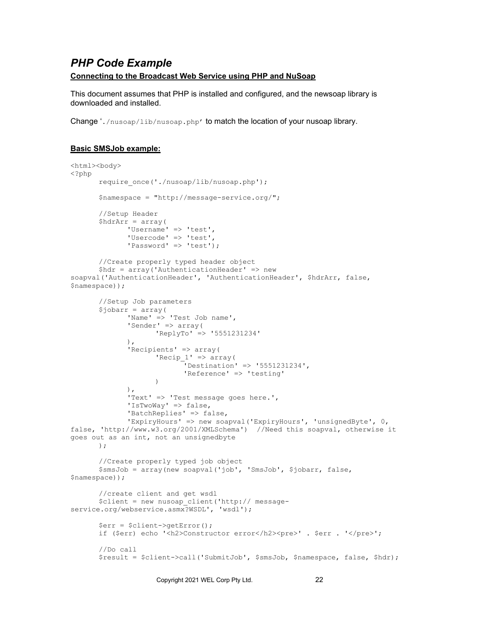## <span id="page-21-0"></span>*PHP Code Example*

### **Connecting to the Broadcast Web Service using PHP and NuSoap**

This document assumes that PHP is installed and configured, and the newsoap library is downloaded and installed.

Change './nusoap/lib/nusoap.php' to match the location of your nusoap library.

### **Basic SMSJob example:**

```
<html><body>
<?php
       require_once('./nusoap/lib/nusoap.php'); 
       $namespace = "http://message-service.org/";
       //Setup Header
      $hdrArr = array('Username' => 'test',
             'Usercode' => 'test',
             'Password' => 'test');
       //Create properly typed header object
       $hdr = array('AuthenticationHeader' => new 
soapval('AuthenticationHeader', 'AuthenticationHeader', $hdrArr, false, 
$namespace));
       //Setup Job parameters
       $jobarr = array('Name' => 'Test Job name',
             'Sender' => array(
                    'ReplyTo' => '5551231234'
             ),
             'Recipients' => array(
                    'Recip 1' => array(
                           'Destination' => '5551231234',
                           'Reference' => 'testing'
                    \lambda),
              'Text' => 'Test message goes here.',
              'IsTwoWay' => false,
              'BatchReplies' => false,
              'ExpiryHours' => new soapval('ExpiryHours', 'unsignedByte', 0, 
false, 'http://www.w3.org/2001/XMLSchema') //Need this soapval, otherwise it 
goes out as an int, not an unsignedbyte
      );
      //Create properly typed job object
      $smsJob = array(new soapval('job', 'SmsJob', $jobarr, false, 
$namespace));
       //create client and get wsdl
       $client = new nusoap_client('http:// message-
service.org/webservice.asmx?WSDL', 'wsdl');
       $err = $client->getError();
      if ($err) echo '<h2>Constructor error</h2><pre>'. $err . '</pre>';
      //Do call
       $result = $client->call('SubmitJob', $smsJob, $namespace, false, $hdr);
```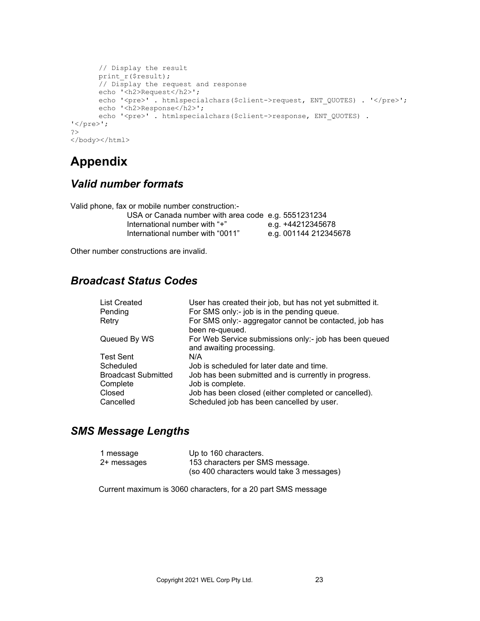```
// Display the result
      print_r($result);
      // Display the request and response
      echo '<h2>Request</h2>';
      echo '<pre>'. htmlspecialchars($client->request, ENT_QUOTES) . '</pre>';
      echo '<h2>Response</h2>';
      echo '<pre>'. htmlspecialchars($client->response, ENT_QUOTES) .
'</pre>';
?>
</body></html>
```
# <span id="page-22-0"></span>**Appendix**

# <span id="page-22-1"></span>*Valid number formats*

Valid phone, fax or mobile number construction:-

| USA or Canada number with area code e.g. 5551231234 |                       |
|-----------------------------------------------------|-----------------------|
| lnternational number with "+"                       | e.g. +44212345678     |
| International number with "0011"                    | e.g. 001144 212345678 |

Other number constructions are invalid.

# <span id="page-22-2"></span>*Broadcast Status Codes*

| <b>List Created</b><br>Pending | User has created their job, but has not yet submitted it.<br>For SMS only:- job is in the pending queue. |
|--------------------------------|----------------------------------------------------------------------------------------------------------|
| Retry                          | For SMS only:- aggregator cannot be contacted, job has<br>been re-queued.                                |
| Queued By WS                   | For Web Service submissions only:- job has been queued<br>and awaiting processing.                       |
| <b>Test Sent</b>               | N/A                                                                                                      |
| Scheduled                      | Job is scheduled for later date and time.                                                                |
| <b>Broadcast Submitted</b>     | Job has been submitted and is currently in progress.                                                     |
| Complete                       | Job is complete.                                                                                         |
| Closed                         | Job has been closed (either completed or cancelled).                                                     |
| Cancelled                      | Scheduled job has been cancelled by user.                                                                |

## <span id="page-22-3"></span>*SMS Message Lengths*

| 1 message   | Up to 160 characters.                     |
|-------------|-------------------------------------------|
| 2+ messages | 153 characters per SMS message.           |
|             | (so 400 characters would take 3 messages) |

Current maximum is 3060 characters, for a 20 part SMS message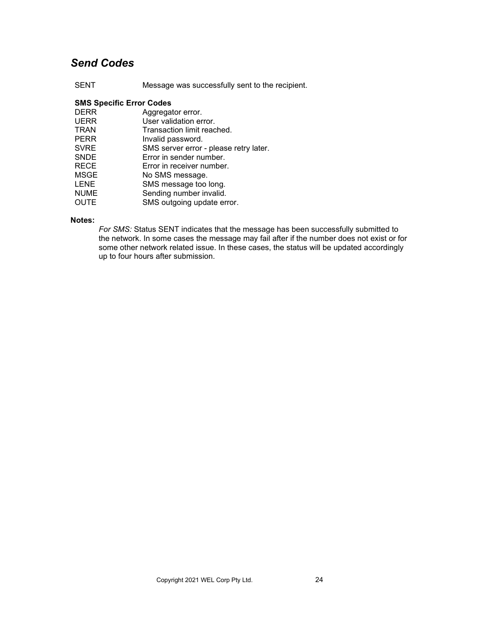# <span id="page-23-0"></span>*Send Codes*

SENT Message was successfully sent to the recipient.

### **SMS Specific Error Codes**

| Aggregator error.                      |
|----------------------------------------|
| User validation error.                 |
| Transaction limit reached.             |
| Invalid password.                      |
| SMS server error - please retry later. |
| Error in sender number.                |
| Error in receiver number.              |
| No SMS message.                        |
| SMS message too long.                  |
| Sending number invalid.                |
| SMS outgoing update error.             |
|                                        |

#### **Notes:**

*For SMS:* Status SENT indicates that the message has been successfully submitted to the network. In some cases the message may fail after if the number does not exist or for some other network related issue. In these cases, the status will be updated accordingly up to four hours after submission.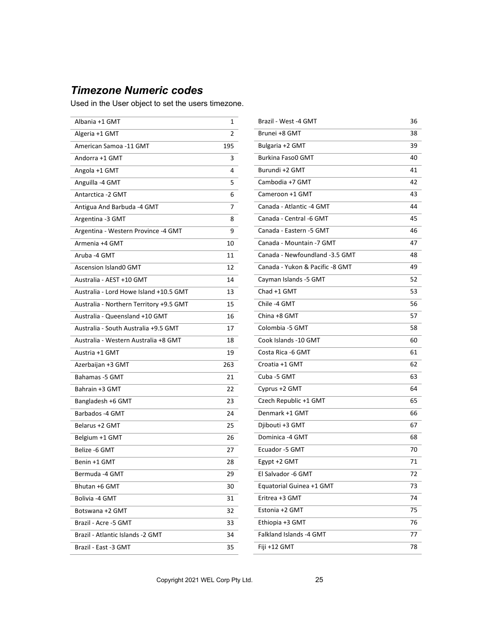# <span id="page-24-0"></span>*Timezone Numeric codes*

Used in the User object to set the users timezone.

 $\overline{a}$ 

| Albania +1 GMT                          | 1   |
|-----------------------------------------|-----|
| Algeria +1 GMT                          | 2   |
| American Samoa -11 GMT                  | 195 |
| Andorra +1 GMT                          | 3   |
| Angola +1 GMT                           | 4   |
| Anguilla -4 GMT                         | 5   |
| Antarctica -2 GMT                       | 6   |
| Antigua And Barbuda -4 GMT              | 7   |
| Argentina -3 GMT                        | 8   |
| Argentina - Western Province -4 GMT     | 9   |
| Armenia +4 GMT                          | 10  |
| Aruba -4 GMT                            | 11  |
| <b>Ascension Island0 GMT</b>            | 12  |
| Australia - AEST +10 GMT                | 14  |
| Australia - Lord Howe Island +10.5 GMT  | 13  |
| Australia - Northern Territory +9.5 GMT | 15  |
| Australia - Queensland +10 GMT          | 16  |
| Australia - South Australia +9.5 GMT    | 17  |
| Australia - Western Australia +8 GMT    | 18  |
| Austria +1 GMT                          | 19  |
| Azerbaijan +3 GMT                       | 263 |
| Bahamas -5 GMT                          | 21  |
| Bahrain +3 GMT                          | 22  |
| Bangladesh +6 GMT                       | 23  |
| Barbados -4 GMT                         | 24  |
| Belarus +2 GMT                          | 25  |
| Belgium +1 GMT                          | 26  |
| Belize -6 GMT                           | 27  |
| Benin +1 GMT                            | 28  |
| Bermuda -4 GMT                          | 29  |
| Bhutan +6 GMT                           | 30  |
| Bolivia -4 GMT                          | 31  |
| Botswana +2 GMT                         | 32  |
| Brazil - Acre -5 GMT                    | 33  |
| Brazil - Atlantic Islands -2 GMT        | 34  |
| Brazil - East -3 GMT                    | 35  |
|                                         |     |

| Brazil - West -4 GMT            | 36 |
|---------------------------------|----|
| Brunei +8 GMT                   | 38 |
| Bulgaria +2 GMT                 | 39 |
| <b>Burkina Faso0 GMT</b>        | 40 |
| Burundi +2 GMT                  | 41 |
| Cambodia +7 GMT                 | 42 |
| Cameroon +1 GMT                 | 43 |
| Canada - Atlantic -4 GMT        | 44 |
| Canada - Central -6 GMT         | 45 |
| Canada - Eastern -5 GMT         | 46 |
| Canada - Mountain -7 GMT        | 47 |
| Canada - Newfoundland -3.5 GMT  | 48 |
| Canada - Yukon & Pacific -8 GMT | 49 |
| Cayman Islands -5 GMT           | 52 |
| Chad +1 GMT                     | 53 |
| Chile -4 GMT                    | 56 |
| China +8 GMT                    | 57 |
| Colombia -5 GMT                 | 58 |
| Cook Islands -10 GMT            | 60 |
| Costa Rica -6 GMT               | 61 |
| Croatia +1 GMT                  | 62 |
| Cuba -5 GMT                     | 63 |
| Cyprus +2 GMT                   | 64 |
| Czech Republic +1 GMT           | 65 |
| Denmark +1 GMT                  | 66 |
| Djibouti +3 GMT                 | 67 |
| Dominica -4 GMT                 | 68 |
| Ecuador -5 GMT                  | 70 |
| Egypt +2 GMT                    | 71 |
| El Salvador -6 GMT              | 72 |
| Equatorial Guinea +1 GMT        | 73 |
| Eritrea +3 GMT                  | 74 |
| Estonia +2 GMT                  | 75 |
| Ethiopia +3 GMT                 | 76 |
| Falkland Islands -4 GMT         | 77 |
| Fiji +12 GMT                    | 78 |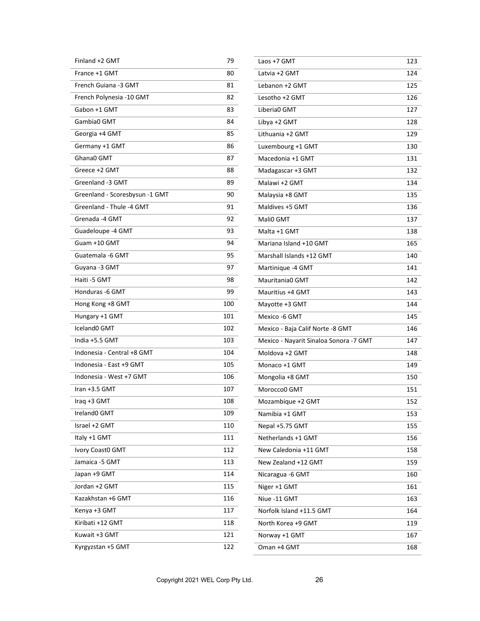| Finland +2 GMT                 | 79  |
|--------------------------------|-----|
| France +1 GMT                  | 80  |
| French Guiana -3 GMT           | 81  |
| French Polynesia -10 GMT       | 82  |
| Gabon +1 GMT                   | 83  |
| Gambia0 GMT                    | 84  |
| Georgia +4 GMT                 | 85  |
| Germany +1 GMT                 | 86  |
| Ghana0 GMT                     | 87  |
| Greece +2 GMT                  | 88  |
| Greenland -3 GMT               | 89  |
| Greenland - Scoresbysun -1 GMT | 90  |
| Greenland - Thule -4 GMT       | 91  |
| Grenada -4 GMT                 | 92  |
| Guadeloupe -4 GMT              | 93  |
| Guam +10 GMT                   | 94  |
| Guatemala -6 GMT               | 95  |
| Guyana -3 GMT                  | 97  |
| Haiti -5 GMT                   | 98  |
| Honduras -6 GMT                | 99  |
| Hong Kong +8 GMT               | 100 |
| Hungary +1 GMT                 | 101 |
| <b>Iceland0 GMT</b>            | 102 |
| India +5.5 GMT                 | 103 |
| Indonesia - Central +8 GMT     | 104 |
| Indonesia - East +9 GMT        | 105 |
| Indonesia - West +7 GMT        | 106 |
| Iran $+3.5$ GMT                | 107 |
| Iraq +3 GMT                    | 108 |
| Ireland0 GMT                   | 109 |
| Israel +2 GMT                  | 110 |
| Italy +1 GMT                   | 111 |
| Ivory Coast0 GMT               | 112 |
| Jamaica -5 GMT                 | 113 |
| Japan +9 GMT                   | 114 |
| Jordan +2 GMT                  | 115 |
| Kazakhstan +6 GMT              | 116 |
| Kenya +3 GMT                   | 117 |
| Kiribati +12 GMT               | 118 |
| Kuwait +3 GMT                  | 121 |
| Kyrgyzstan +5 GMT              | 122 |

| Laos +7 GMT                            | 123 |
|----------------------------------------|-----|
| Latvia +2 GMT                          | 124 |
| Lebanon +2 GMT                         | 125 |
| Lesotho +2 GMT                         | 126 |
| Liberia0 GMT                           | 127 |
| Libya +2 GMT                           | 128 |
| Lithuania +2 GMT                       | 129 |
| Luxembourg +1 GMT                      | 130 |
| Macedonia +1 GMT                       | 131 |
| Madagascar +3 GMT                      | 132 |
| Malawi +2 GMT                          | 134 |
| Malaysia +8 GMT                        | 135 |
| Maldives +5 GMT                        | 136 |
| Mali0 GMT                              | 137 |
| Malta +1 GMT                           | 138 |
| Mariana Island +10 GMT                 | 165 |
| Marshall Islands +12 GMT               | 140 |
| Martinique -4 GMT                      | 141 |
| Mauritania0 GMT                        | 142 |
| Mauritius +4 GMT                       | 143 |
| Mayotte +3 GMT                         | 144 |
| Mexico -6 GMT                          | 145 |
| Mexico - Baja Calif Norte -8 GMT       | 146 |
| Mexico - Nayarit Sinaloa Sonora -7 GMT | 147 |
| Moldova +2 GMT                         | 148 |
| Monaco +1 GMT                          | 149 |
| Mongolia +8 GMT                        | 150 |
| Morocco0 GMT                           | 151 |
| Mozambique +2 GMT                      | 152 |
| Namibia +1 GMT                         | 153 |
| Nepal +5.75 GMT                        | 155 |
| Netherlands +1 GMT                     | 156 |
| New Caledonia +11 GMT                  | 158 |
| New Zealand +12 GMT                    | 159 |
| Nicaragua -6 GMT                       | 160 |
| Niger +1 GMT                           | 161 |
| Niue -11 GMT                           | 163 |
| Norfolk Island +11.5 GMT               | 164 |
| North Korea +9 GMT                     | 119 |
| Norway +1 GMT                          | 167 |
| Oman +4 GMT                            | 168 |
|                                        |     |

L.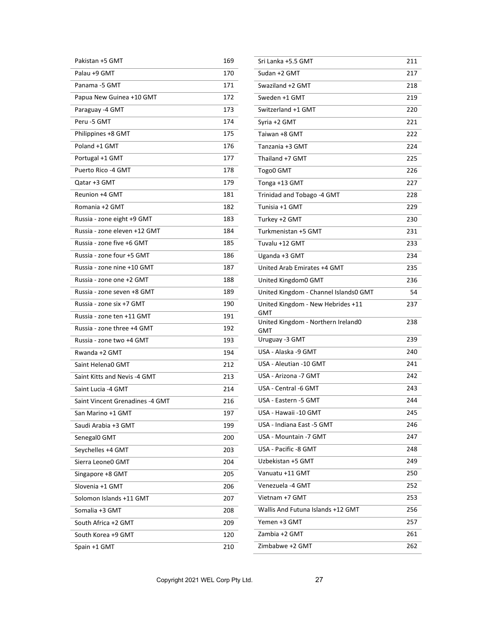| Pakistan +5 GMT                 | 169 |
|---------------------------------|-----|
| Palau +9 GMT                    | 170 |
| Panama -5 GMT                   | 171 |
| Papua New Guinea +10 GMT        | 172 |
| Paraguay -4 GMT                 | 173 |
| Peru -5 GMT                     | 174 |
| Philippines +8 GMT              | 175 |
| Poland +1 GMT                   | 176 |
| Portugal +1 GMT                 | 177 |
| Puerto Rico -4 GMT              | 178 |
| Qatar +3 GMT                    | 179 |
| Reunion +4 GMT                  | 181 |
| Romania +2 GMT                  | 182 |
| Russia - zone eight +9 GMT      | 183 |
| Russia - zone eleven +12 GMT    | 184 |
| Russia - zone five +6 GMT       | 185 |
| Russia - zone four +5 GMT       | 186 |
| Russia - zone nine +10 GMT      | 187 |
| Russia - zone one +2 GMT        | 188 |
| Russia - zone seven +8 GMT      | 189 |
| Russia - zone six +7 GMT        | 190 |
| Russia - zone ten +11 GMT       | 191 |
| Russia - zone three +4 GMT      | 192 |
| Russia - zone two +4 GMT        | 193 |
| Rwanda +2 GMT                   | 194 |
| Saint Helena0 GMT               | 212 |
| Saint Kitts and Nevis -4 GMT    | 213 |
| Saint Lucia -4 GMT              | 214 |
| Saint Vincent Grenadines -4 GMT | 216 |
| San Marino +1 GMT               | 197 |
| Saudi Arabia +3 GMT             | 199 |
| Senegal0 GMT                    | 200 |
| Seychelles +4 GMT               | 203 |
| Sierra Leone0 GMT               | 204 |
| Singapore +8 GMT                | 205 |
| Slovenia +1 GMT                 | 206 |
| Solomon Islands +11 GMT         | 207 |
| Somalia +3 GMT                  | 208 |
| South Africa +2 GMT             | 209 |
| South Korea +9 GMT              | 120 |
| Spain +1 GMT                    | 210 |

| Sri Lanka +5.5 GMT                               | 211 |
|--------------------------------------------------|-----|
| Sudan +2 GMT                                     | 217 |
| Swaziland +2 GMT                                 | 218 |
| Sweden +1 GMT                                    | 219 |
| Switzerland +1 GMT                               | 220 |
| Syria +2 GMT                                     | 221 |
| Taiwan +8 GMT                                    | 222 |
| Tanzania +3 GMT                                  | 224 |
| Thailand +7 GMT                                  | 225 |
| Togo0 GMT                                        | 226 |
| Tonga +13 GMT                                    | 227 |
| Trinidad and Tobago -4 GMT                       | 228 |
| Tunisia +1 GMT                                   | 229 |
| Turkey +2 GMT                                    | 230 |
| Turkmenistan +5 GMT                              | 231 |
| Tuvalu +12 GMT                                   | 233 |
| Uganda +3 GMT                                    | 234 |
| United Arab Emirates +4 GMT                      | 235 |
| United Kingdom0 GMT                              | 236 |
| United Kingdom - Channel Islands0 GMT            | 54  |
| United Kingdom - New Hebrides +11                | 237 |
| <b>GMT</b><br>United Kingdom - Northern Ireland0 | 238 |
| <b>GMT</b>                                       |     |
| Uruguay -3 GMT                                   | 239 |
| USA - Alaska -9 GMT                              | 240 |
| USA - Aleutian -10 GMT                           | 241 |
| USA - Arizona -7 GMT                             | 242 |
| USA - Central -6 GMT                             | 243 |
| USA - Eastern -5 GMT                             | 244 |
| USA - Hawaii -10 GMT                             | 245 |
| USA - Indiana East -5 GMT                        | 246 |
| USA - Mountain -7 GMT                            | 247 |
| USA - Pacific -8 GMT                             | 248 |
| Uzbekistan +5 GMT                                | 249 |
| Vanuatu +11 GMT                                  | 250 |
| Venezuela -4 GMT                                 | 252 |
| Vietnam +7 GMT                                   | 253 |
| Wallis And Futuna Islands +12 GMT                | 256 |
| Yemen +3 GMT                                     | 257 |
| Zambia +2 GMT                                    | 261 |
| Zimbabwe +2 GMT                                  | 262 |
|                                                  |     |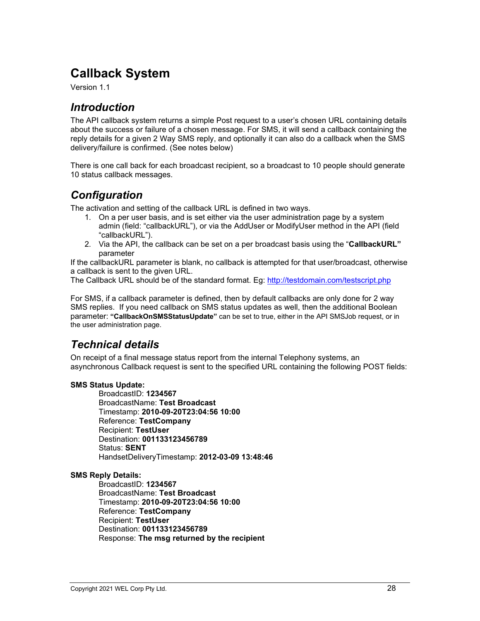# <span id="page-27-0"></span>**Callback System**

<span id="page-27-1"></span>Version 1.1

# *Introduction*

The API callback system returns a simple Post request to a user's chosen URL containing details about the success or failure of a chosen message. For SMS, it will send a callback containing the reply details for a given 2 Way SMS reply, and optionally it can also do a callback when the SMS delivery/failure is confirmed. (See notes below)

There is one call back for each broadcast recipient, so a broadcast to 10 people should generate 10 status callback messages.

# <span id="page-27-2"></span>*Configuration*

The activation and setting of the callback URL is defined in two ways.

- 1. On a per user basis, and is set either via the user administration page by a system admin (field: "callbackURL"), or via the AddUser or ModifyUser method in the API (field "callbackURL").
- 2. Via the API, the callback can be set on a per broadcast basis using the "**CallbackURL"**  parameter

If the callbackURL parameter is blank, no callback is attempted for that user/broadcast, otherwise a callback is sent to the given URL.

The Callback URL should be of the standard format. Eg:<http://testdomain.com/testscript.php>

For SMS, if a callback parameter is defined, then by default callbacks are only done for 2 way SMS replies. If you need callback on SMS status updates as well, then the additional Boolean parameter: **"CallbackOnSMSStatusUpdate"** can be set to true, either in the API SMSJob request, or in the user administration page.

# <span id="page-27-3"></span>*Technical details*

On receipt of a final message status report from the internal Telephony systems, an asynchronous Callback request is sent to the specified URL containing the following POST fields:

### **SMS Status Update:**

BroadcastID: **1234567** BroadcastName: **Test Broadcast** Timestamp: **2010-09-20T23:04:56 10:00** Reference: **TestCompany** Recipient: **TestUser** Destination: **001133123456789** Status: **SENT** HandsetDeliveryTimestamp: **2012-03-09 13:48:46**

### **SMS Reply Details:**

BroadcastID: **1234567** BroadcastName: **Test Broadcast** Timestamp: **2010-09-20T23:04:56 10:00** Reference: **TestCompany** Recipient: **TestUser** Destination: **001133123456789** Response: **The msg returned by the recipient**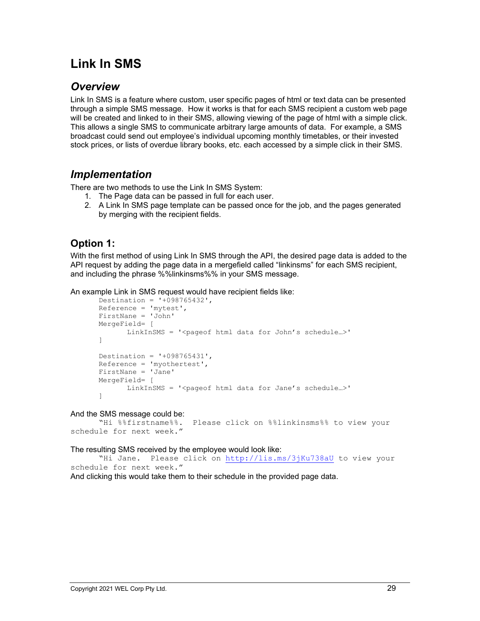# <span id="page-28-0"></span>**Link In SMS**

# <span id="page-28-1"></span>*Overview*

Link In SMS is a feature where custom, user specific pages of html or text data can be presented through a simple SMS message. How it works is that for each SMS recipient a custom web page will be created and linked to in their SMS, allowing viewing of the page of html with a simple click. This allows a single SMS to communicate arbitrary large amounts of data. For example, a SMS broadcast could send out employee's individual upcoming monthly timetables, or their invested stock prices, or lists of overdue library books, etc. each accessed by a simple click in their SMS.

# <span id="page-28-2"></span>*Implementation*

There are two methods to use the Link In SMS System:

- 1. The Page data can be passed in full for each user.
- 2. A Link In SMS page template can be passed once for the job, and the pages generated by merging with the recipient fields.

# <span id="page-28-3"></span>**Option 1:**

With the first method of using Link In SMS through the API, the desired page data is added to the API request by adding the page data in a mergefield called "linkinsms" for each SMS recipient, and including the phrase %%linkinsms%% in your SMS message.

An example Link in SMS request would have recipient fields like:

```
Destination = '+098765432', 
Reference = 'mytest',
FirstNane = 'John'
MergeField= [
       LinkInSMS = '<pageof html data for John's schedule...>'
]
Destination = '+098765431', 
Reference = 'myothertest',
FirstNane = 'Jane'
MergeField= [
      LinkInSMS = '<pageof html data for Jane's schedule...>'
]
```
And the SMS message could be:<br>WHi %%firstname%.

```
Please click on %%linkinsms%% to view your
schedule for next week."
```
The resulting SMS received by the employee would look like:

"Hi Jane. Please click on<http://lis.ms/3jKu738aU> to view your schedule for next week."

And clicking this would take them to their schedule in the provided page data.